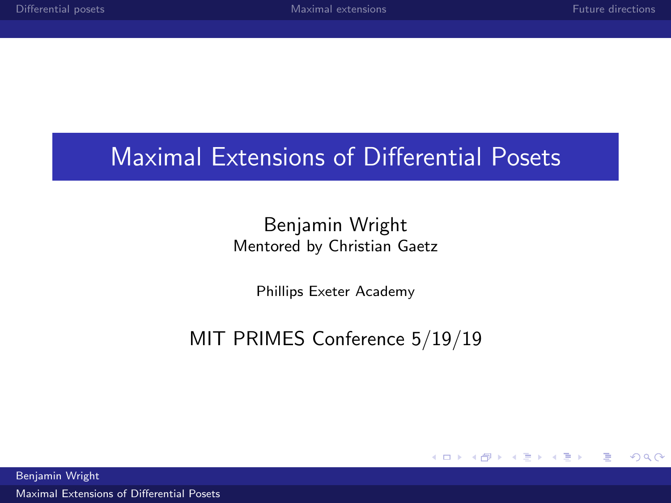## <span id="page-0-0"></span>Maximal Extensions of Differential Posets

#### Benjamin Wright Mentored by Christian Gaetz

Phillips Exeter Academy

## MIT PRIMES Conference 5/19/19

メロト メタト メミトメ  $\Rightarrow$ Ε  $\Omega$ 

Benjamin Wright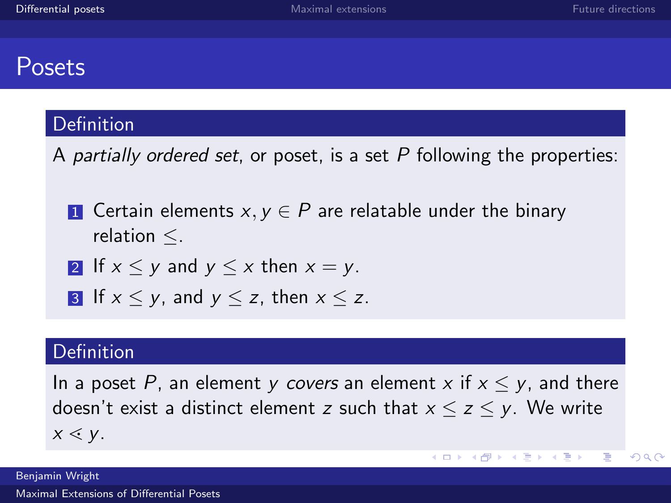## <span id="page-1-0"></span>Posets

#### **Definition**

A partially ordered set, or poset, is a set  $P$  following the properties:

- **1** Certain elements  $x, y \in P$  are relatable under the binary relation ≤.
- 2 If  $x \leq y$  and  $y \leq x$  then  $x = y$ .
- 3 If  $x < y$ , and  $y < z$ , then  $x < z$ .

#### **Definition**

In a poset P, an element y covers an element x if  $x \leq y$ , and there doesn't exist a distinct element z such that  $x \le z \le y$ . We write  $x \leq y$ .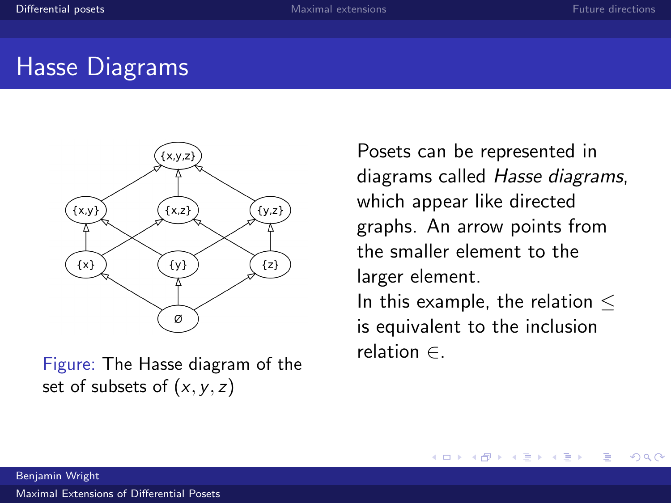## Hasse Diagrams



Figure: The Hasse diagram of the set of subsets of  $(x, y, z)$ 

Posets can be represented in diagrams called Hasse diagrams, which appear like directed graphs. An arrow points from the smaller element to the larger element. In this example, the relation  $\leq$ is equivalent to the inclusion relation ∈.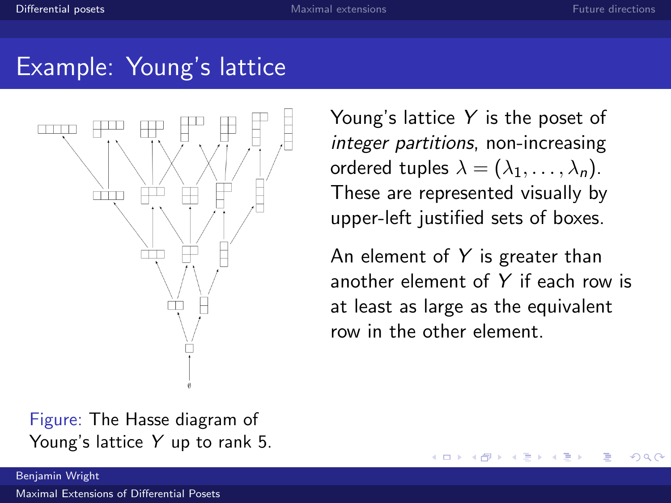## Example: Young's lattice



Young's lattice  $Y$  is the poset of integer partitions, non-increasing ordered tuples  $\lambda = (\lambda_1, \ldots, \lambda_n)$ . These are represented visually by upper-left justified sets of boxes.

An element of  $Y$  is greater than another element of Y if each row is at least as large as the equivalent row in the other element.

Figure: The Hasse diagram of Young's lattice Y up to rank 5.

Benjamin Wright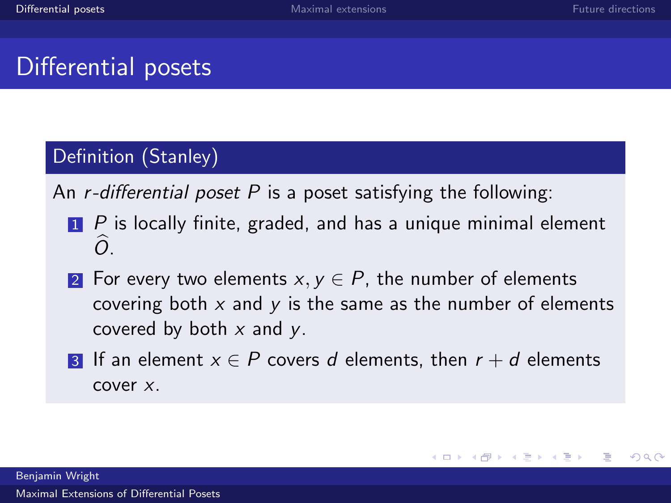## Differential posets

#### Definition (Stanley)

An *r*-differential poset P is a poset satisfying the following:

- $\blacksquare$  P is locally finite, graded, and has a unique minimal element  $\overline{O}$ .
- 2 For every two elements  $x, y \in P$ , the number of elements covering both  $x$  and  $y$  is the same as the number of elements covered by both  $x$  and  $y$ .
- **3** If an element  $x \in P$  covers d elements, then  $r + d$  elements cover x.

Benjamin Wright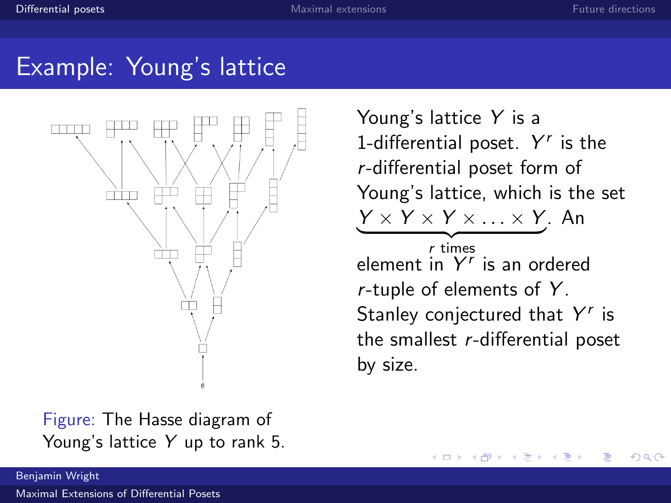## Example: Young's lattice



Figure: The Hasse diagram of Young's lattice Y up to rank 5. Young's lattice Y is a 1-differential poset.  $Y^r$  is the r-differential poset form of Young's lattice, which is the set  $Y \times Y \times Y \times \ldots \times Y$ . An  $r$  times element in  $Y<sup>r</sup>$  is an ordered  $r$ -tuple of elements of  $Y$ . Stanley conjectured that  $Y^r$  is the smallest r-differential poset by size.

4 **D** F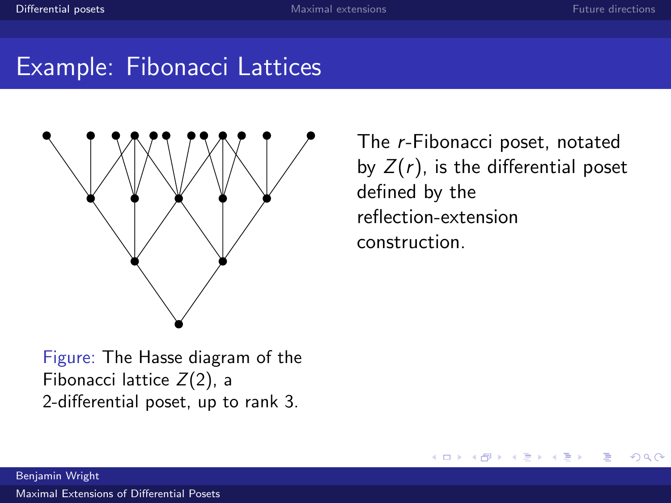$209$ 

## Example: Fibonacci Lattices



Figure: The Hasse diagram of the Fibonacci lattice  $Z(2)$ , a 2-differential poset, up to rank 3.

The r-Fibonacci poset, notated by  $Z(r)$ , is the differential poset defined by the reflection-extension construction.

4 **D** F

Benjamin Wright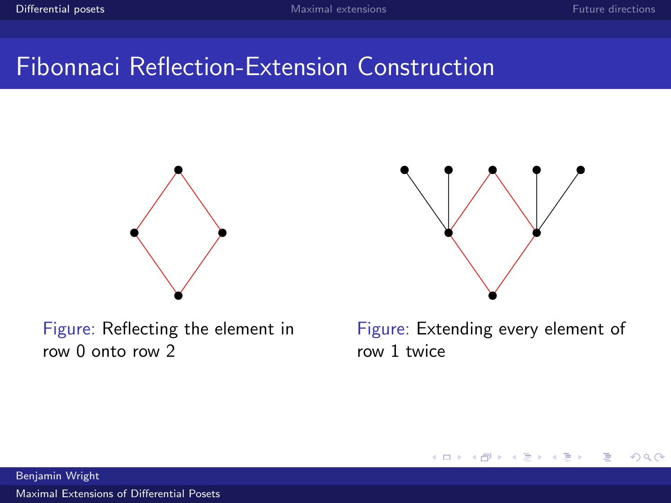## Fibonnaci Reflection-Extension Construction



Figure: Reflecting the element in row 0 onto row 2



Figure: Extending every element of row 1 twice

Benjamin Wright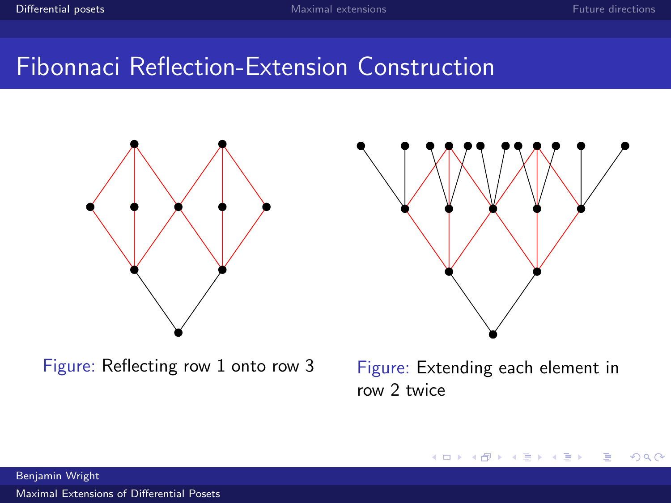## Fibonnaci Reflection-Extension Construction



Figure: Reflecting row 1 onto row 3 Figure: Extending each element in



row 2 twice

Benjamin Wright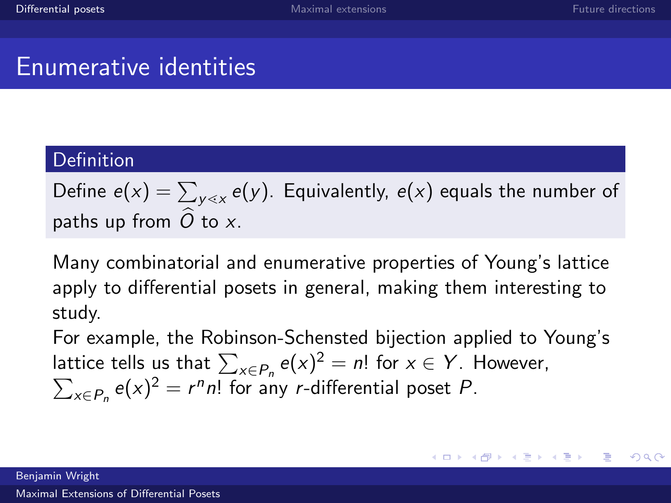メロメ メ御う メミメ メミメー

重

 $\Omega$ 

## Enumerative identities

#### Definition

Define  $e(x)=\sum_{\mathsf y \lessdot x} e(\mathsf y).$  Equivalently,  $e(\mathsf x)$  equals the number of paths up from  $\hat{O}$  to x.

Many combinatorial and enumerative properties of Young's lattice apply to differential posets in general, making them interesting to study.

For example, the Robinson-Schensted bijection applied to Young's lattice tells us that  $\sum_{x \in P_n} e(x)^2 = n!$  for  $x \in Y$ . However,  $\sum_{x \in P_n} e(x)^2 = r^n n!$  for any *r*-differential poset *P*.

Benjamin Wright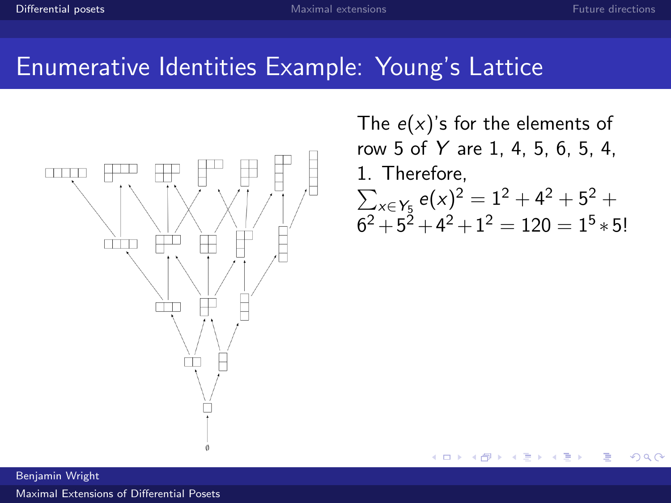## Enumerative Identities Example: Young's Lattice



The  $e(x)$ 's for the elements of row 5 of Y are 1, 4, 5, 6, 5, 4, 1. Therefore,  $\sum_{x \in Y_5} e(x)^2 = 1^2 + 4^2 + 5^2 +$  $6^2 + 5^2 + 4^2 + 1^2 = 120 = 1^5 * 5!$ 

4 0 F

Benjamin Wright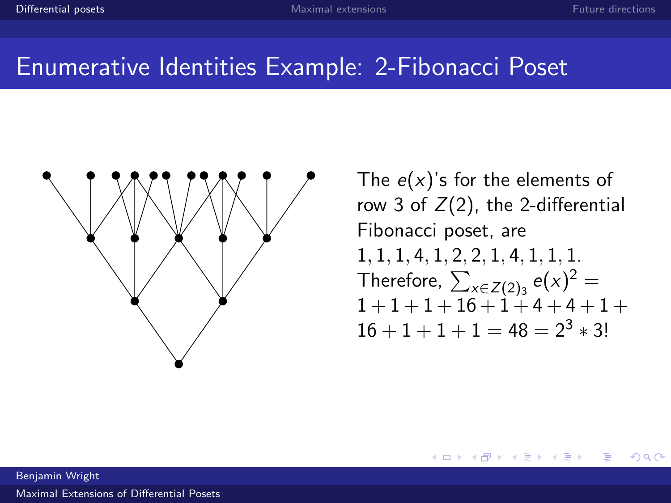## Enumerative Identities Example: 2-Fibonacci Poset



The  $e(x)$ 's for the elements of row 3 of  $Z(2)$ , the 2-differential Fibonacci poset, are 1, 1, 1, 4, 1, 2, 2, 1, 4, 1, 1, 1. Therefore,  $\sum_{x\in Z(2)_3} e(x)^2 =$  $1 + 1 + 1 + 16 + 1 + 4 + 4 + 1 +$  $16 + 1 + 1 + 1 = 48 = 2^3 * 3!$ 

Benjamin Wright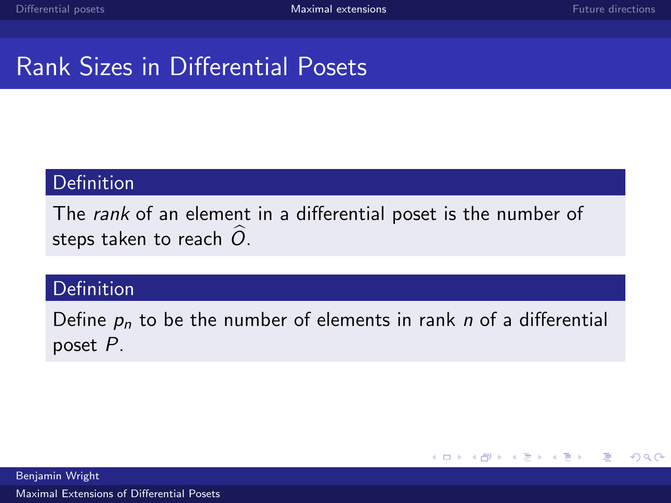## <span id="page-12-0"></span>Rank Sizes in Differential Posets

#### Definition

The rank of an element in a differential poset is the number of steps taken to reach  $\hat{O}$ .

#### Definition

Define  $p_n$  to be the number of elements in rank n of a differential poset P.

> メロメ メ母メ メミメ メミメ E.  $\Omega$

Benjamin Wright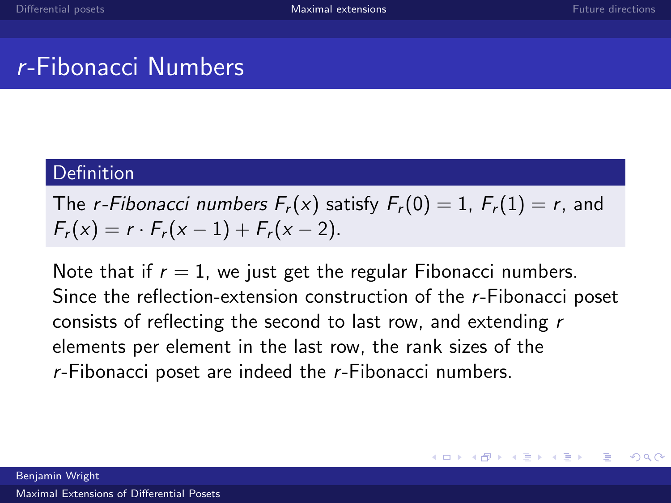## r-Fibonacci Numbers

#### **Definition**

The *r*-Fibonacci numbers  $F_r(x)$  satisfy  $F_r(0) = 1$ ,  $F_r(1) = r$ , and  $F_r(x) = r \cdot F_r(x-1) + F_r(x-2).$ 

Note that if  $r = 1$ , we just get the regular Fibonacci numbers. Since the reflection-extension construction of the r-Fibonacci poset consists of reflecting the second to last row, and extending r elements per element in the last row, the rank sizes of the r-Fibonacci poset are indeed the r-Fibonacci numbers.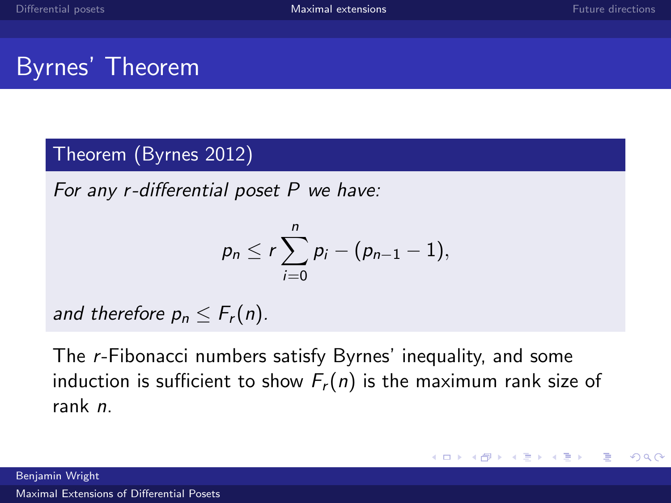## Byrnes' Theorem

#### Theorem (Byrnes 2012)

For any r-differential poset P we have:

$$
p_n\leq r\sum_{i=0}^n p_i-(p_{n-1}-1),
$$

and therefore  $p_n \leq F_r(n)$ .

The r-Fibonacci numbers satisfy Byrnes' inequality, and some induction is sufficient to show  $F_r(n)$  is the maximum rank size of rank n.

Benjamin Wright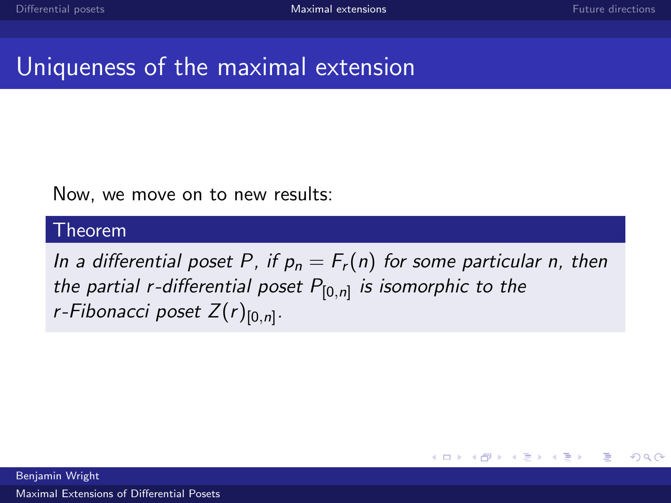$2990$ 

Ε

メロメ メ都 メメモ メルモト

## Uniqueness of the maximal extension

#### Now, we move on to new results:

#### Theorem

In a differential poset P, if  $p_n = F_r(n)$  for some particular n, then the partial r-differential poset  $P_{[0,n]}$  is isomorphic to the r-Fibonacci poset Z $(r)_{[0,n]}.$ 

Benjamin Wright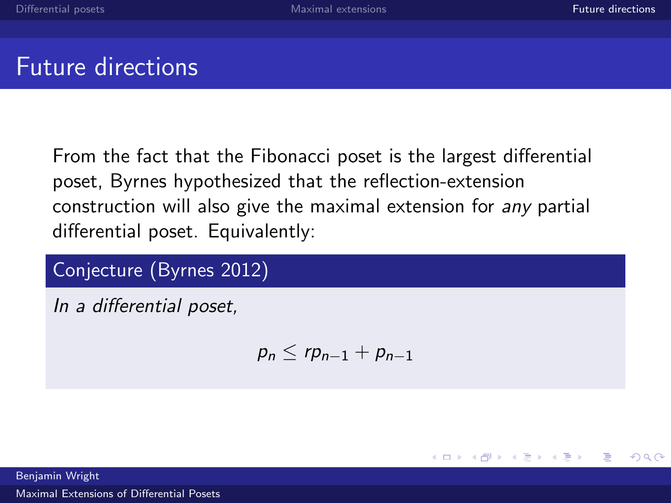∍

 $\left\{ \left\vert \left\langle \left\langle \left\langle \mathbf{q} \right\rangle \right\rangle \right\rangle \right\vert \left\langle \mathbf{q} \right\rangle \right\vert \left\langle \mathbf{q} \right\rangle \right\vert \left\langle \mathbf{q} \right\rangle \right\vert \left\langle \mathbf{q} \right\rangle \left\langle \mathbf{q} \right\rangle \right\vert$ 

4 **D** F

## <span id="page-16-0"></span>Future directions

From the fact that the Fibonacci poset is the largest differential poset, Byrnes hypothesized that the reflection-extension construction will also give the maximal extension for any partial differential poset. Equivalently:

Conjecture (Byrnes 2012)

In a differential poset,

$$
p_n \leq rp_{n-1} + p_{n-1}
$$

Benjamin Wright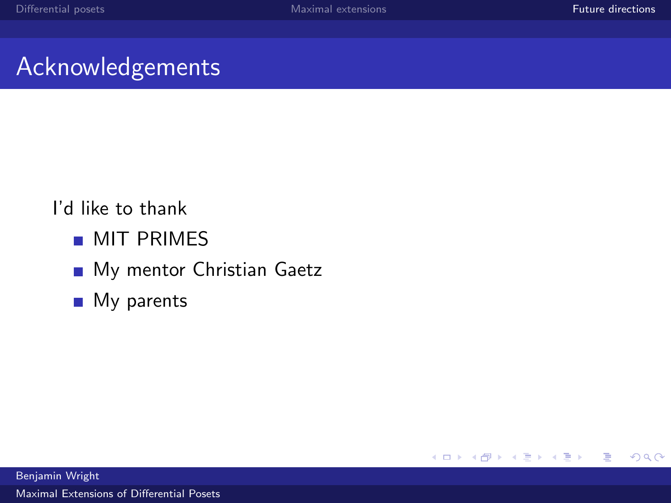## Acknowledgements

### I'd like to thank

- **MIT PRIMES**
- My mentor Christian Gaetz
- **My parents**

Benjamin Wright [Maximal Extensions of Differential Posets](#page-0-0)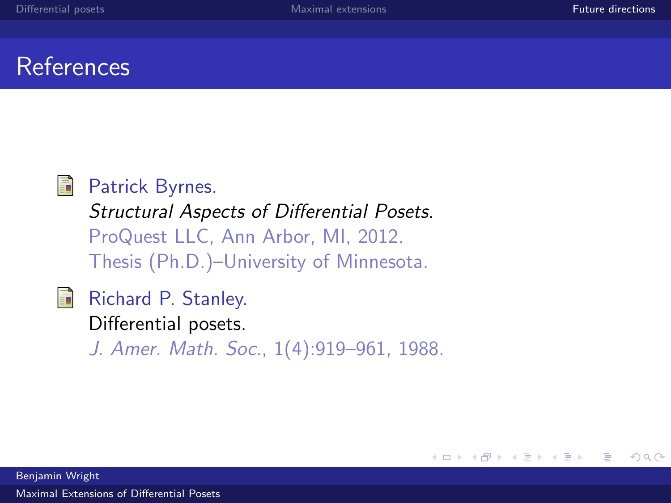## References



#### Patrick Byrnes.

Structural Aspects of Differential Posets. ProQuest LLC, Ann Arbor, MI, 2012. Thesis (Ph.D.)–University of Minnesota.

#### Richard P. Stanley. 昂

Differential posets. J. Amer. Math. Soc., 1(4):919–961, 1988.

> Ε  $\Omega$ 4 **D** F ヨ ト

Benjamin Wright